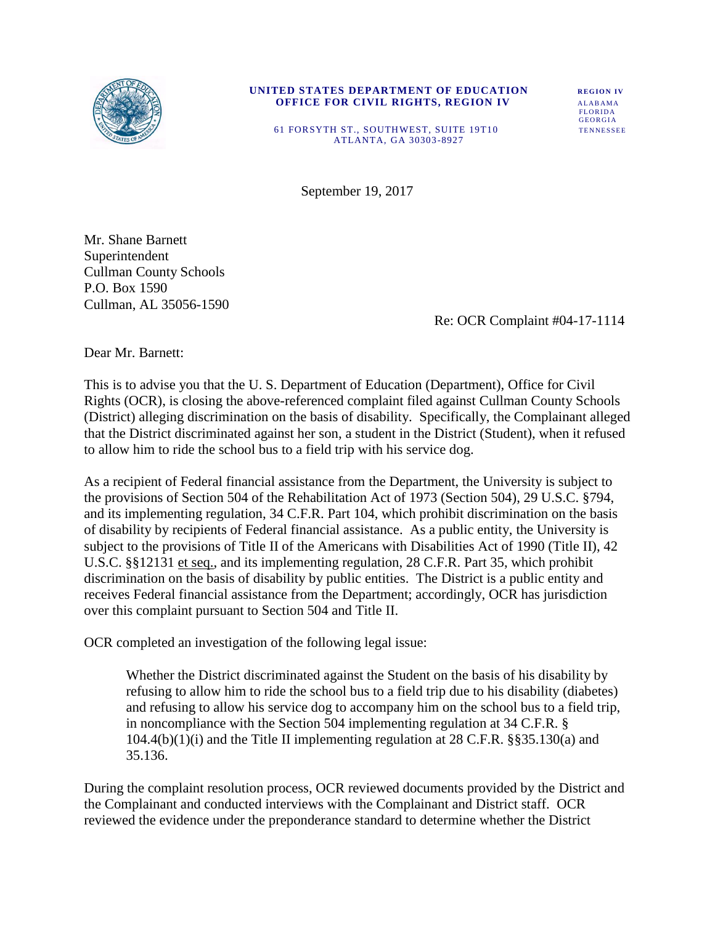

#### **UNITED STATES DEPARTMENT OF EDUCATION REGION IV OFFICE FOR CIVIL RIGHTS, REGION IV ALABAMA** FLORIDA FLORIDA FLORIDA

GEORGIA 61 FORSYTH ST., SOUTHWEST, SUITE 19T10 TENNESSEE ATLANTA, GA 30303 -8927

September 19, 2017

Mr. Shane Barnett Superintendent Cullman County Schools P.O. Box 1590 Cullman, AL 35056-1590

Re: OCR Complaint #04-17-1114

Dear Mr. Barnett:

This is to advise you that the U. S. Department of Education (Department), Office for Civil Rights (OCR), is closing the above-referenced complaint filed against Cullman County Schools (District) alleging discrimination on the basis of disability. Specifically, the Complainant alleged that the District discriminated against her son, a student in the District (Student), when it refused to allow him to ride the school bus to a field trip with his service dog.

As a recipient of Federal financial assistance from the Department, the University is subject to the provisions of Section 504 of the Rehabilitation Act of 1973 (Section 504), 29 U.S.C. §794, and its implementing regulation, 34 C.F.R. Part 104, which prohibit discrimination on the basis of disability by recipients of Federal financial assistance. As a public entity, the University is subject to the provisions of Title II of the Americans with Disabilities Act of 1990 (Title II), 42 U.S.C. §§12131 et seq., and its implementing regulation, 28 C.F.R. Part 35, which prohibit discrimination on the basis of disability by public entities. The District is a public entity and receives Federal financial assistance from the Department; accordingly, OCR has jurisdiction over this complaint pursuant to Section 504 and Title II.

OCR completed an investigation of the following legal issue:

Whether the District discriminated against the Student on the basis of his disability by refusing to allow him to ride the school bus to a field trip due to his disability (diabetes) and refusing to allow his service dog to accompany him on the school bus to a field trip, in noncompliance with the Section 504 implementing regulation at 34 C.F.R. §  $104.4(b)(1)(i)$  and the Title II implementing regulation at 28 C.F.R. §§35.130(a) and 35.136.

During the complaint resolution process, OCR reviewed documents provided by the District and the Complainant and conducted interviews with the Complainant and District staff. OCR reviewed the evidence under the preponderance standard to determine whether the District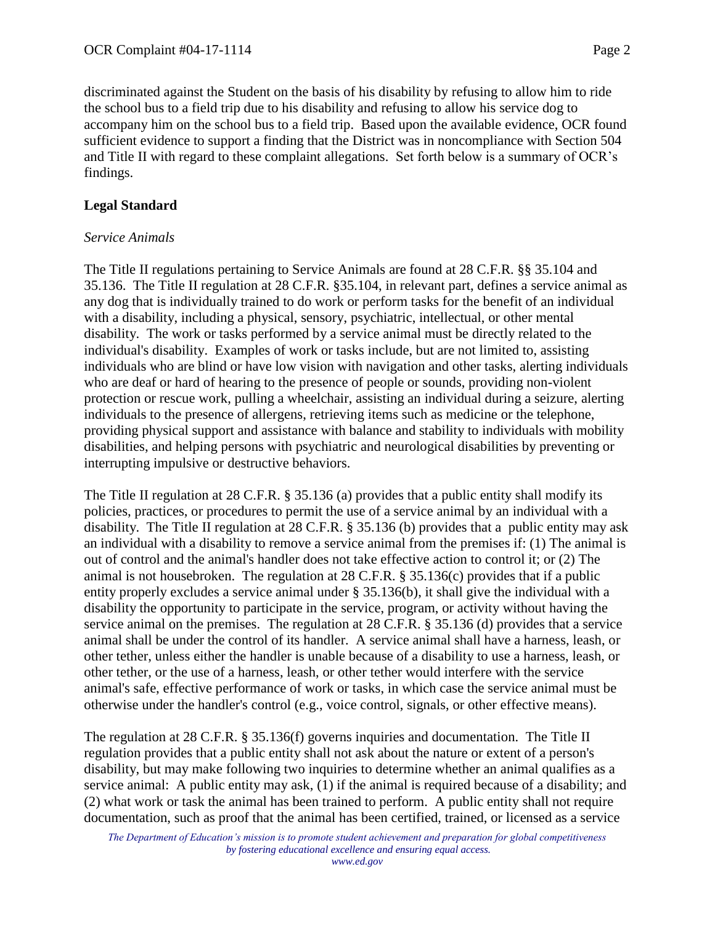discriminated against the Student on the basis of his disability by refusing to allow him to ride the school bus to a field trip due to his disability and refusing to allow his service dog to accompany him on the school bus to a field trip. Based upon the available evidence, OCR found sufficient evidence to support a finding that the District was in noncompliance with Section 504 and Title II with regard to these complaint allegations. Set forth below is a summary of OCR's findings.

#### **Legal Standard**

#### *Service Animals*

The Title II regulations pertaining to Service Animals are found at 28 C.F.R. §§ 35.104 and 35.136. The Title II regulation at 28 C.F.R. §35.104, in relevant part, defines a service animal as any dog that is individually trained to do work or perform tasks for the benefit of an individual with a disability, including a physical, sensory, psychiatric, intellectual, or other mental disability. The work or tasks performed by a service animal must be directly related to the individual's disability. Examples of work or tasks include, but are not limited to, assisting individuals who are blind or have low vision with navigation and other tasks, alerting individuals who are deaf or hard of hearing to the presence of people or sounds, providing non-violent protection or rescue work, pulling a wheelchair, assisting an individual during a seizure, alerting individuals to the presence of allergens, retrieving items such as medicine or the telephone, providing physical support and assistance with balance and stability to individuals with mobility disabilities, and helping persons with psychiatric and neurological disabilities by preventing or interrupting impulsive or destructive behaviors.

The Title II regulation at 28 C.F.R. § 35.136 (a) provides that a public entity shall modify its policies, practices, or procedures to permit the use of a service animal by an individual with a disability. The Title II regulation at 28 C.F.R. § 35.136 (b) provides that a public entity may ask an individual with a disability to remove a service animal from the premises if: (1) The animal is out of control and the animal's handler does not take effective action to control it; or (2) The animal is not housebroken. The regulation at 28 C.F.R. § 35.136(c) provides that if a public entity properly excludes a service animal under § 35.136(b), it shall give the individual with a disability the opportunity to participate in the service, program, or activity without having the service animal on the premises. The regulation at 28 C.F.R. § 35.136 (d) provides that a service animal shall be under the control of its handler. A service animal shall have a harness, leash, or other tether, unless either the handler is unable because of a disability to use a harness, leash, or other tether, or the use of a harness, leash, or other tether would interfere with the service animal's safe, effective performance of work or tasks, in which case the service animal must be otherwise under the handler's control (e.g., voice control, signals, or other effective means).

The regulation at 28 C.F.R. § 35.136(f) governs inquiries and documentation. The Title II regulation provides that a public entity shall not ask about the nature or extent of a person's disability, but may make following two inquiries to determine whether an animal qualifies as a service animal: A public entity may ask, (1) if the animal is required because of a disability; and (2) what work or task the animal has been trained to perform. A public entity shall not require documentation, such as proof that the animal has been certified, trained, or licensed as a service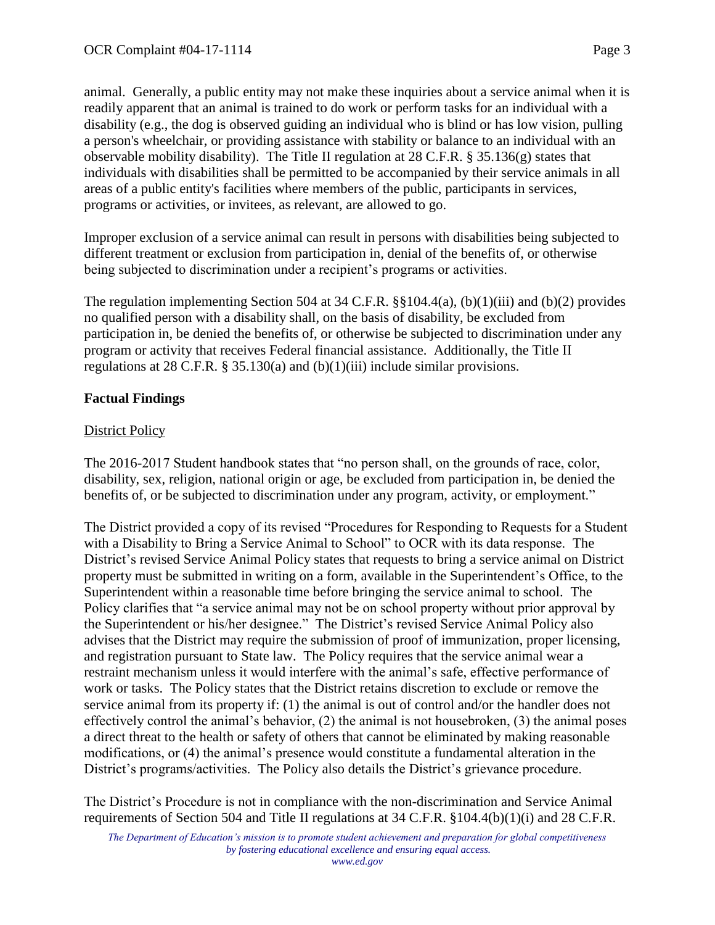animal. Generally, a public entity may not make these inquiries about a service animal when it is

readily apparent that an animal is trained to do work or perform tasks for an individual with a disability (e.g., the dog is observed guiding an individual who is blind or has low vision, pulling a person's wheelchair, or providing assistance with stability or balance to an individual with an observable mobility disability). The Title II regulation at 28 C.F.R. § 35.136(g) states that individuals with disabilities shall be permitted to be accompanied by their service animals in all areas of a public entity's facilities where members of the public, participants in services, programs or activities, or invitees, as relevant, are allowed to go.

Improper exclusion of a service animal can result in persons with disabilities being subjected to different treatment or exclusion from participation in, denial of the benefits of, or otherwise being subjected to discrimination under a recipient's programs or activities.

The regulation implementing Section 504 at 34 C.F.R. §§104.4(a), (b)(1)(iii) and (b)(2) provides no qualified person with a disability shall, on the basis of disability, be excluded from participation in, be denied the benefits of, or otherwise be subjected to discrimination under any program or activity that receives Federal financial assistance. Additionally, the Title II regulations at 28 C.F.R. § 35.130(a) and (b)(1)(iii) include similar provisions.

## **Factual Findings**

## District Policy

The 2016-2017 Student handbook states that "no person shall, on the grounds of race, color, disability, sex, religion, national origin or age, be excluded from participation in, be denied the benefits of, or be subjected to discrimination under any program, activity, or employment."

The District provided a copy of its revised "Procedures for Responding to Requests for a Student with a Disability to Bring a Service Animal to School" to OCR with its data response. The District's revised Service Animal Policy states that requests to bring a service animal on District property must be submitted in writing on a form, available in the Superintendent's Office, to the Superintendent within a reasonable time before bringing the service animal to school. The Policy clarifies that "a service animal may not be on school property without prior approval by the Superintendent or his/her designee." The District's revised Service Animal Policy also advises that the District may require the submission of proof of immunization, proper licensing, and registration pursuant to State law. The Policy requires that the service animal wear a restraint mechanism unless it would interfere with the animal's safe, effective performance of work or tasks. The Policy states that the District retains discretion to exclude or remove the service animal from its property if: (1) the animal is out of control and/or the handler does not effectively control the animal's behavior, (2) the animal is not housebroken, (3) the animal poses a direct threat to the health or safety of others that cannot be eliminated by making reasonable modifications, or (4) the animal's presence would constitute a fundamental alteration in the District's programs/activities. The Policy also details the District's grievance procedure.

The District's Procedure is not in compliance with the non-discrimination and Service Animal requirements of Section 504 and Title II regulations at  $34$  C.F.R. §104.4(b)(1)(i) and 28 C.F.R.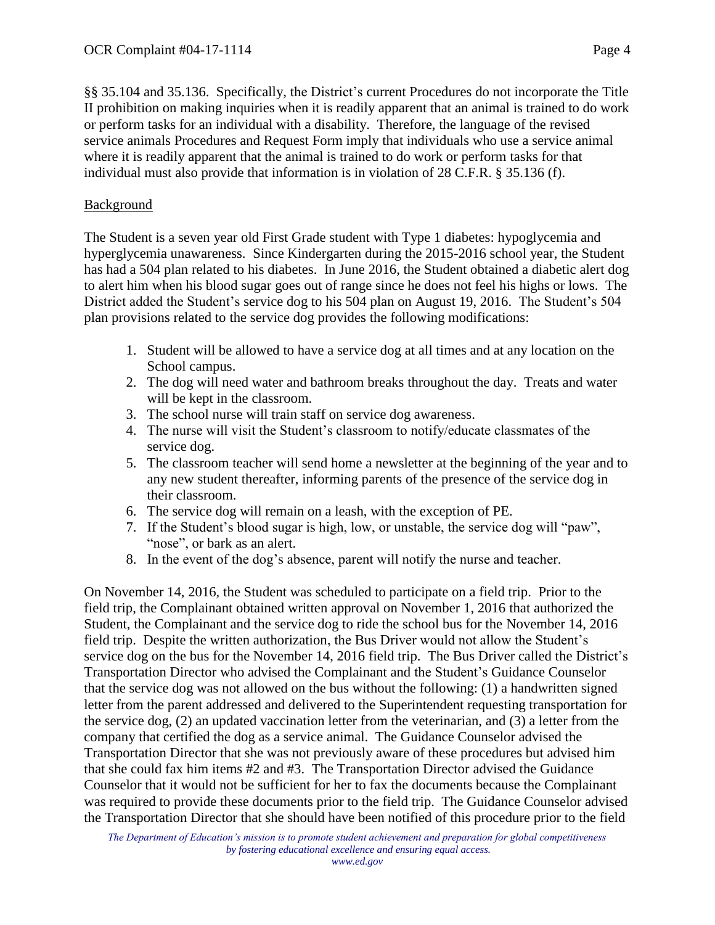§§ 35.104 and 35.136. Specifically, the District's current Procedures do not incorporate the Title II prohibition on making inquiries when it is readily apparent that an animal is trained to do work or perform tasks for an individual with a disability. Therefore, the language of the revised service animals Procedures and Request Form imply that individuals who use a service animal where it is readily apparent that the animal is trained to do work or perform tasks for that individual must also provide that information is in violation of 28 C.F.R. § 35.136 (f).

## Background

The Student is a seven year old First Grade student with Type 1 diabetes: hypoglycemia and hyperglycemia unawareness. Since Kindergarten during the 2015-2016 school year, the Student has had a 504 plan related to his diabetes. In June 2016, the Student obtained a diabetic alert dog to alert him when his blood sugar goes out of range since he does not feel his highs or lows. The District added the Student's service dog to his 504 plan on August 19, 2016. The Student's 504 plan provisions related to the service dog provides the following modifications:

- 1. Student will be allowed to have a service dog at all times and at any location on the School campus.
- 2. The dog will need water and bathroom breaks throughout the day. Treats and water will be kept in the classroom.
- 3. The school nurse will train staff on service dog awareness.
- 4. The nurse will visit the Student's classroom to notify/educate classmates of the service dog.
- 5. The classroom teacher will send home a newsletter at the beginning of the year and to any new student thereafter, informing parents of the presence of the service dog in their classroom.
- 6. The service dog will remain on a leash, with the exception of PE.
- 7. If the Student's blood sugar is high, low, or unstable, the service dog will "paw", "nose", or bark as an alert.
- 8. In the event of the dog's absence, parent will notify the nurse and teacher.

On November 14, 2016, the Student was scheduled to participate on a field trip. Prior to the field trip, the Complainant obtained written approval on November 1, 2016 that authorized the Student, the Complainant and the service dog to ride the school bus for the November 14, 2016 field trip. Despite the written authorization, the Bus Driver would not allow the Student's service dog on the bus for the November 14, 2016 field trip. The Bus Driver called the District's Transportation Director who advised the Complainant and the Student's Guidance Counselor that the service dog was not allowed on the bus without the following: (1) a handwritten signed letter from the parent addressed and delivered to the Superintendent requesting transportation for the service dog, (2) an updated vaccination letter from the veterinarian, and (3) a letter from the company that certified the dog as a service animal. The Guidance Counselor advised the Transportation Director that she was not previously aware of these procedures but advised him that she could fax him items #2 and #3. The Transportation Director advised the Guidance Counselor that it would not be sufficient for her to fax the documents because the Complainant was required to provide these documents prior to the field trip. The Guidance Counselor advised the Transportation Director that she should have been notified of this procedure prior to the field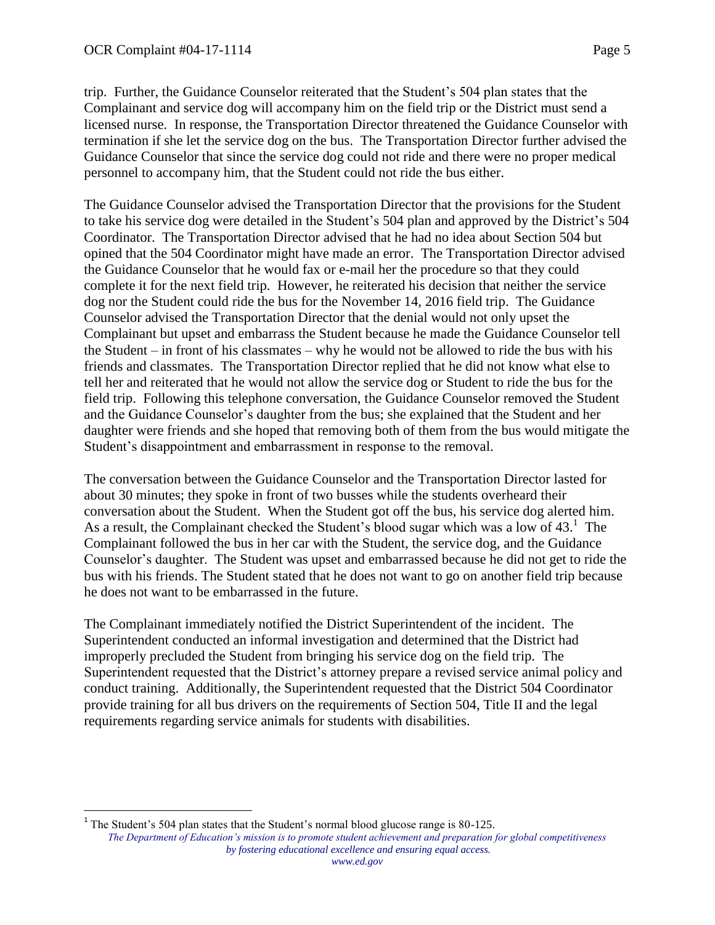trip. Further, the Guidance Counselor reiterated that the Student's 504 plan states that the Complainant and service dog will accompany him on the field trip or the District must send a licensed nurse. In response, the Transportation Director threatened the Guidance Counselor with termination if she let the service dog on the bus. The Transportation Director further advised the Guidance Counselor that since the service dog could not ride and there were no proper medical personnel to accompany him, that the Student could not ride the bus either.

The Guidance Counselor advised the Transportation Director that the provisions for the Student to take his service dog were detailed in the Student's 504 plan and approved by the District's 504 Coordinator. The Transportation Director advised that he had no idea about Section 504 but opined that the 504 Coordinator might have made an error. The Transportation Director advised the Guidance Counselor that he would fax or e-mail her the procedure so that they could complete it for the next field trip. However, he reiterated his decision that neither the service dog nor the Student could ride the bus for the November 14, 2016 field trip. The Guidance Counselor advised the Transportation Director that the denial would not only upset the Complainant but upset and embarrass the Student because he made the Guidance Counselor tell the Student – in front of his classmates – why he would not be allowed to ride the bus with his friends and classmates. The Transportation Director replied that he did not know what else to tell her and reiterated that he would not allow the service dog or Student to ride the bus for the field trip. Following this telephone conversation, the Guidance Counselor removed the Student and the Guidance Counselor's daughter from the bus; she explained that the Student and her daughter were friends and she hoped that removing both of them from the bus would mitigate the Student's disappointment and embarrassment in response to the removal.

The conversation between the Guidance Counselor and the Transportation Director lasted for about 30 minutes; they spoke in front of two busses while the students overheard their conversation about the Student. When the Student got off the bus, his service dog alerted him. As a result, the Complainant checked the Student's blood sugar which was a low of  $43<sup>1</sup>$ . The Complainant followed the bus in her car with the Student, the service dog, and the Guidance Counselor's daughter. The Student was upset and embarrassed because he did not get to ride the bus with his friends. The Student stated that he does not want to go on another field trip because he does not want to be embarrassed in the future.

The Complainant immediately notified the District Superintendent of the incident. The Superintendent conducted an informal investigation and determined that the District had improperly precluded the Student from bringing his service dog on the field trip. The Superintendent requested that the District's attorney prepare a revised service animal policy and conduct training. Additionally, the Superintendent requested that the District 504 Coordinator provide training for all bus drivers on the requirements of Section 504, Title II and the legal requirements regarding service animals for students with disabilities.

 $\overline{a}$ <sup>1</sup> The Student's 504 plan states that the Student's normal blood glucose range is 80-125.

*The Department of Education's mission is to promote student achievement and preparation for global competitiveness by fostering educational excellence and ensuring equal access.*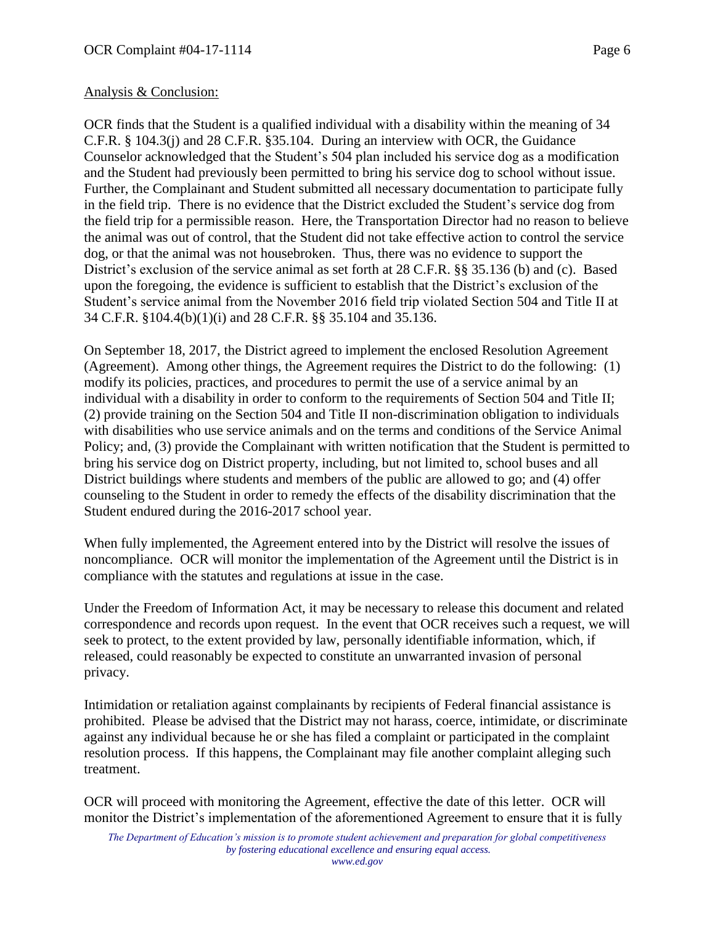# Analysis & Conclusion:

OCR finds that the Student is a qualified individual with a disability within the meaning of 34 C.F.R. § 104.3(j) and 28 C.F.R. §35.104. During an interview with OCR, the Guidance Counselor acknowledged that the Student's 504 plan included his service dog as a modification and the Student had previously been permitted to bring his service dog to school without issue. Further, the Complainant and Student submitted all necessary documentation to participate fully in the field trip. There is no evidence that the District excluded the Student's service dog from the field trip for a permissible reason. Here, the Transportation Director had no reason to believe the animal was out of control, that the Student did not take effective action to control the service dog, or that the animal was not housebroken. Thus, there was no evidence to support the District's exclusion of the service animal as set forth at 28 C.F.R. §§ 35.136 (b) and (c). Based upon the foregoing, the evidence is sufficient to establish that the District's exclusion of the Student's service animal from the November 2016 field trip violated Section 504 and Title II at 34 C.F.R. §104.4(b)(1)(i) and 28 C.F.R. §§ 35.104 and 35.136.

On September 18, 2017, the District agreed to implement the enclosed Resolution Agreement (Agreement). Among other things, the Agreement requires the District to do the following: (1) modify its policies, practices, and procedures to permit the use of a service animal by an individual with a disability in order to conform to the requirements of Section 504 and Title II; (2) provide training on the Section 504 and Title II non-discrimination obligation to individuals with disabilities who use service animals and on the terms and conditions of the Service Animal Policy; and, (3) provide the Complainant with written notification that the Student is permitted to bring his service dog on District property, including, but not limited to, school buses and all District buildings where students and members of the public are allowed to go; and (4) offer counseling to the Student in order to remedy the effects of the disability discrimination that the Student endured during the 2016-2017 school year.

When fully implemented, the Agreement entered into by the District will resolve the issues of noncompliance. OCR will monitor the implementation of the Agreement until the District is in compliance with the statutes and regulations at issue in the case.

Under the Freedom of Information Act, it may be necessary to release this document and related correspondence and records upon request. In the event that OCR receives such a request, we will seek to protect, to the extent provided by law, personally identifiable information, which, if released, could reasonably be expected to constitute an unwarranted invasion of personal privacy.

Intimidation or retaliation against complainants by recipients of Federal financial assistance is prohibited. Please be advised that the District may not harass, coerce, intimidate, or discriminate against any individual because he or she has filed a complaint or participated in the complaint resolution process. If this happens, the Complainant may file another complaint alleging such treatment.

OCR will proceed with monitoring the Agreement, effective the date of this letter. OCR will monitor the District's implementation of the aforementioned Agreement to ensure that it is fully